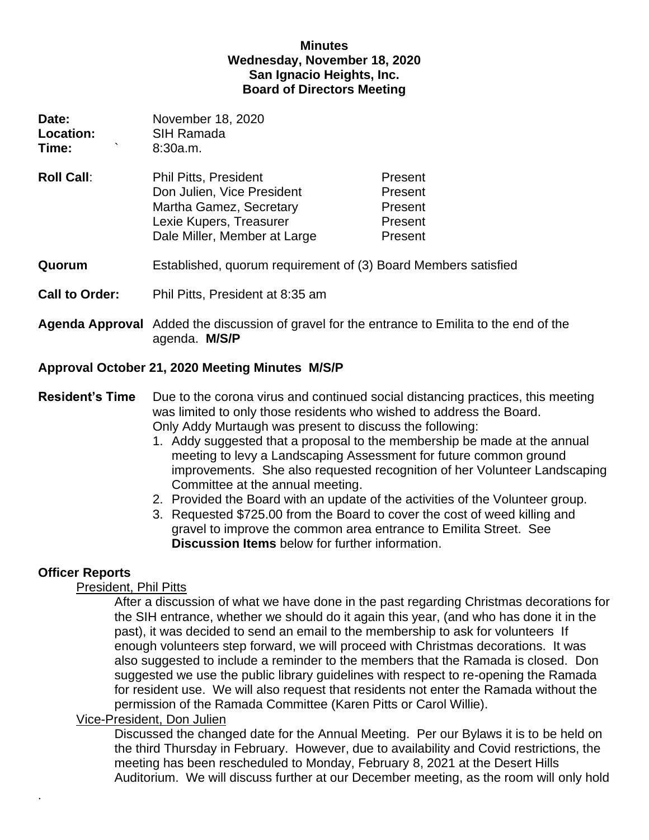### **Minutes Wednesday, November 18, 2020 San Ignacio Heights, Inc. Board of Directors Meeting**

| Date:<br><b>Location:</b><br>Time: | November 18, 2020<br>SIH Ramada<br>8:30a.m.                                                                                                      |                                                     |
|------------------------------------|--------------------------------------------------------------------------------------------------------------------------------------------------|-----------------------------------------------------|
| <b>Roll Call:</b>                  | <b>Phil Pitts, President</b><br>Don Julien, Vice President<br>Martha Gamez, Secretary<br>Lexie Kupers, Treasurer<br>Dale Miller, Member at Large | Present<br>Present<br>Present<br>Present<br>Present |
| Quorum                             | Established, quorum requirement of (3) Board Members satisfied                                                                                   |                                                     |

- **Call to Order:** Phil Pitts, President at 8:35 am
- **Agenda Approval** Added the discussion of gravel for the entrance to Emilita to the end of the agenda. **M/S/P**

# **Approval October 21, 2020 Meeting Minutes M/S/P**

### **Resident's Time** Due to the corona virus and continued social distancing practices, this meeting was limited to only those residents who wished to address the Board. Only Addy Murtaugh was present to discuss the following:

- 1. Addy suggested that a proposal to the membership be made at the annual meeting to levy a Landscaping Assessment for future common ground improvements. She also requested recognition of her Volunteer Landscaping Committee at the annual meeting.
- 2. Provided the Board with an update of the activities of the Volunteer group.
- 3. Requested \$725.00 from the Board to cover the cost of weed killing and gravel to improve the common area entrance to Emilita Street. See **Discussion Items** below for further information.

# **Officer Reports**

.

# President, Phil Pitts

After a discussion of what we have done in the past regarding Christmas decorations for the SIH entrance, whether we should do it again this year, (and who has done it in the past), it was decided to send an email to the membership to ask for volunteers If enough volunteers step forward, we will proceed with Christmas decorations. It was also suggested to include a reminder to the members that the Ramada is closed. Don suggested we use the public library guidelines with respect to re-opening the Ramada for resident use. We will also request that residents not enter the Ramada without the permission of the Ramada Committee (Karen Pitts or Carol Willie).

# Vice-President, Don Julien

Discussed the changed date for the Annual Meeting. Per our Bylaws it is to be held on the third Thursday in February. However, due to availability and Covid restrictions, the meeting has been rescheduled to Monday, February 8, 2021 at the Desert Hills Auditorium. We will discuss further at our December meeting, as the room will only hold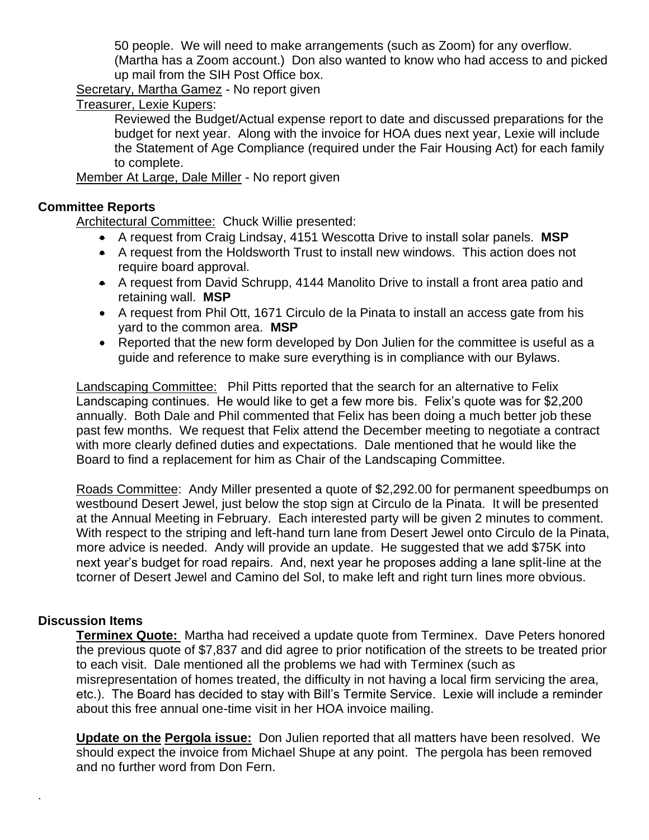50 people. We will need to make arrangements (such as Zoom) for any overflow.

(Martha has a Zoom account.) Don also wanted to know who had access to and picked up mail from the SIH Post Office box.

Secretary, Martha Gamez - No report given

Treasurer, Lexie Kupers:

Reviewed the Budget/Actual expense report to date and discussed preparations for the budget for next year. Along with the invoice for HOA dues next year, Lexie will include the Statement of Age Compliance (required under the Fair Housing Act) for each family to complete.

Member At Large, Dale Miller - No report given

#### **Committee Reports**

Architectural Committee: Chuck Willie presented:

- A request from Craig Lindsay, 4151 Wescotta Drive to install solar panels. **MSP**
- A request from the Holdsworth Trust to install new windows. This action does not require board approval.
- A request from David Schrupp, 4144 Manolito Drive to install a front area patio and retaining wall. **MSP**
- A request from Phil Ott, 1671 Circulo de la Pinata to install an access gate from his yard to the common area. **MSP**
- Reported that the new form developed by Don Julien for the committee is useful as a guide and reference to make sure everything is in compliance with our Bylaws.

Landscaping Committee: Phil Pitts reported that the search for an alternative to Felix Landscaping continues. He would like to get a few more bis. Felix's quote was for \$2,200 annually. Both Dale and Phil commented that Felix has been doing a much better job these past few months. We request that Felix attend the December meeting to negotiate a contract with more clearly defined duties and expectations. Dale mentioned that he would like the Board to find a replacement for him as Chair of the Landscaping Committee.

Roads Committee: Andy Miller presented a quote of \$2,292.00 for permanent speedbumps on westbound Desert Jewel, just below the stop sign at Circulo de la Pinata. It will be presented at the Annual Meeting in February. Each interested party will be given 2 minutes to comment. With respect to the striping and left-hand turn lane from Desert Jewel onto Circulo de la Pinata, more advice is needed. Andy will provide an update. He suggested that we add \$75K into next year's budget for road repairs. And, next year he proposes adding a lane split-line at the tcorner of Desert Jewel and Camino del Sol, to make left and right turn lines more obvious.

### **Discussion Items**

.

**Terminex Quote:** Martha had received a update quote from Terminex. Dave Peters honored the previous quote of \$7,837 and did agree to prior notification of the streets to be treated prior to each visit. Dale mentioned all the problems we had with Terminex (such as misrepresentation of homes treated, the difficulty in not having a local firm servicing the area, etc.). The Board has decided to stay with Bill's Termite Service. Lexie will include a reminder about this free annual one-time visit in her HOA invoice mailing.

**Update on the Pergola issue:** Don Julien reported that all matters have been resolved. We should expect the invoice from Michael Shupe at any point. The pergola has been removed and no further word from Don Fern.